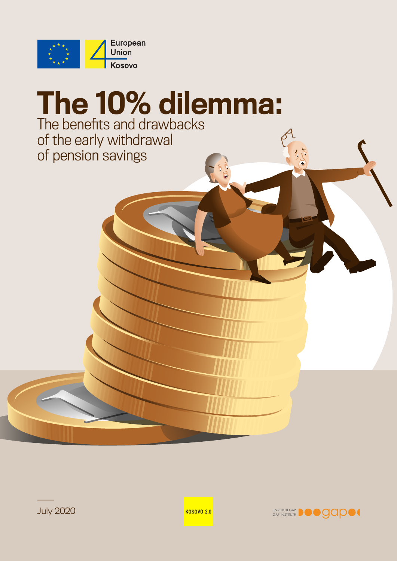

# The 10% dilemma: The benefits and drawbacks of the early withdrawal of pension savings



July 2020

**KOSOVO 2.0**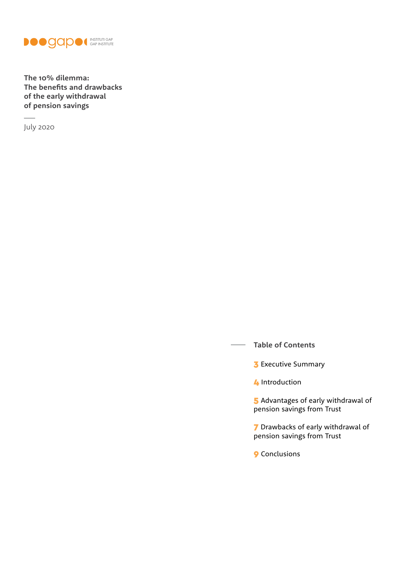

**The 10% dilemma: The benefits and drawbacks of the early withdrawal of pension savings**

July 2020

**Table of Contents**

**3** [Executive Summary](#page-2-0)

**4** [Introduction](#page-3-0)

5 Advantages of early withdrawal of [pension savings from Trust](#page-4-0)

7 [Drawbacks of early withdrawal of](#page-6-0)  [pension savings from Trust](#page-6-0)

9 [Conclusions](#page-8-0)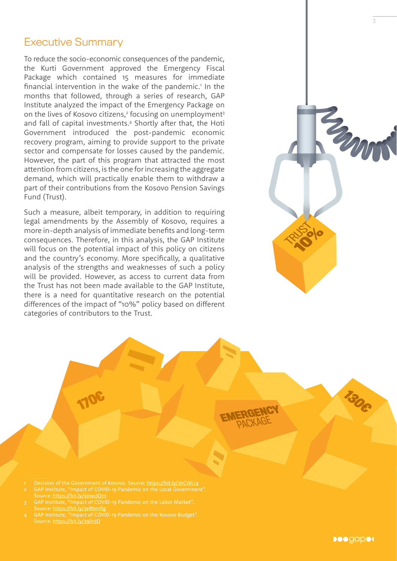## <span id="page-2-0"></span>Executive Summary

To reduce the socio-economic consequences of the pandemic, the Kurti Government approved the Emergency Fiscal Package which contained 15 measures for immediate financial intervention in the wake of the pandemic.<sup>1</sup> In the months that followed, through a series of research, GAP Institute analyzed the impact of the Emergency Package on on the lives of Kosovo citizens,<sup>2</sup> focusing on unemployment<sup>3</sup> and fall of capital investments.4 Shortly after that, the Hoti Government introduced the post-pandemic economic recovery program, aiming to provide support to the private sector and compensate for losses caused by the pandemic. However, the part of this program that attracted the most attention from citizens, is the one for increasing the aggregate demand, which will practically enable them to withdraw a part of their contributions from the Kosovo Pension Savings Fund (Trust).

Such a measure, albeit temporary, in addition to requiring legal amendments by the Assembly of Kosovo, requires a more in-depth analysis of immediate benefits and long-term consequences. Therefore, in this analysis, the GAP Institute will focus on the potential impact of this policy on citizens and the country's economy. More specifically, a qualitative analysis of the strengths and weaknesses of such a policy will be provided. However, as access to current data from the Trust has not been made available to the GAP Institute, there is a need for quantitative research on the potential differences of the impact of "10%" policy based on different categories of contributors to the Trust.



**Deegaped** 



- 1 Decision of the Government of Kosovo. Source:<https://bit.ly/3bCWLr4>
- 2 GAP Institute, "Impact of COVID-19 Pandemic on the Local Government". Source:<https://bit.ly/30wcJQm>
- Source: https://bit.ly/3eRbmRg
- Source: https://bit.ly/39iinJD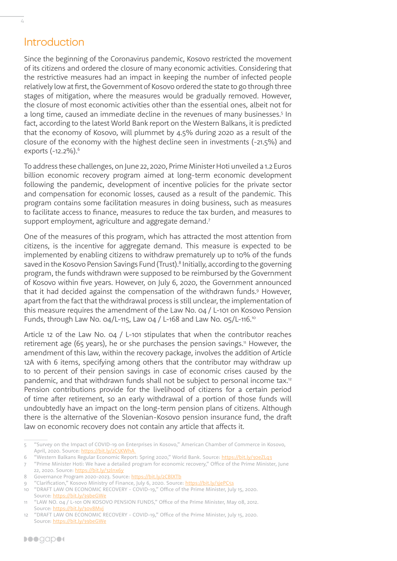### Introduction

<span id="page-3-0"></span> $\frac{1}{4}$ 

Since the beginning of the Coronavirus pandemic, Kosovo restricted the movement of its citizens and ordered the closure of many economic activities. Considering that the restrictive measures had an impact in keeping the number of infected people relatively low at first, the Government of Kosovo ordered the state to go through three stages of mitigation, where the measures would be gradually removed. However, the closure of most economic activities other than the essential ones, albeit not for a long time, caused an immediate decline in the revenues of many businesses.<sup>5</sup> In fact, according to the latest World Bank report on the Western Balkans, it is predicted that the economy of Kosovo, will plummet by 4.5% during 2020 as a result of the closure of the economy with the highest decline seen in investments (-21.5%) and exports (-12.2%).6

To address these challenges, on June 22, 2020, Prime Minister Hoti unveiled a 1.2 Euros billion economic recovery program aimed at long-term economic development following the pandemic, development of incentive policies for the private sector and compensation for economic losses, caused as a result of the pandemic. This program contains some facilitation measures in doing business, such as measures to facilitate access to finance, measures to reduce the tax burden, and measures to support employment, agriculture and aggregate demand.<sup>7</sup>

One of the measures of this program, which has attracted the most attention from citizens, is the incentive for aggregate demand. This measure is expected to be implemented by enabling citizens to withdraw prematurely up to 10% of the funds saved in the Kosovo Pension Savings Fund (Trust).<sup>8</sup> Initially, according to the governing program, the funds withdrawn were supposed to be reimbursed by the Government of Kosovo within five years. However, on July 6, 2020, the Government announced that it had decided against the compensation of the withdrawn funds.<sup>9</sup> However, apart from the fact that the withdrawal process is still unclear, the implementation of this measure requires the amendment of the Law No. 04 / L-101 on Kosovo Pension Funds, through Law No. 04/L-115, Law 04 / L-168 and Law No. 05/L-116.10

Article 12 of the Law No. 04 / L-101 stipulates that when the contributor reaches retirement age (65 years), he or she purchases the pension savings.<sup>11</sup> However, the amendment of this law, within the recovery package, involves the addition of Article 12A with 6 items, specifying among others that the contributor may withdraw up to 10 percent of their pension savings in case of economic crises caused by the pandemic, and that withdrawn funds shall not be subject to personal income tax.<sup>12</sup> Pension contributions provide for the livelihood of citizens for a certain period of time after retirement, so an early withdrawal of a portion of those funds will undoubtedly have an impact on the long-term pension plans of citizens. Although there is the alternative of the Slovenian-Kosovo pension insurance fund, the draft law on economic recovery does not contain any article that affects it.

"Clarification," Kosovo Ministry of Finance, July 6, 2020. Source: https://bit.ly/3jePC5s

<sup>5</sup> "Survey on the Impact of COVID-19 on Enterprises in Kosovo," American Chamber of Commerce in Kosovo, April, 2020. Source: https://bit.ly/2C5KWhA

<sup>6</sup> "Western Balkans Regular Economic Report: Spring 2020," World Bank. Source: https://bit.ly/30eZLq3

<sup>7</sup> "Prime Minister Hoti: We have a detailed program for economic recovery," Office of the Prime Minister, June 22, 2020. Source: https://bit.ly/32lnx6y

<sup>8</sup> Governance Program 2020-2023. Source: https://bit.ly/2CBlXTb

<sup>10</sup> "DRAFT LAW ON ECONOMIC RECOVERY - COVID-19," Office of the Prime Minister, July 15, 2020. Source:<https://bit.ly/39beGWe>

<sup>11</sup> "LAW NO. 04 / L-101 ON KOSOVO PENSION FUNDS," Office of the Prime Minister, May 08, 2012. Source: https://bit.ly/30v8Mvj

<sup>12</sup> "DRAFT LAW ON ECONOMIC RECOVERY - COVID-19," Office of the Prime Minister, July 15, 2020. Source:<https://bit.ly/39beGWe>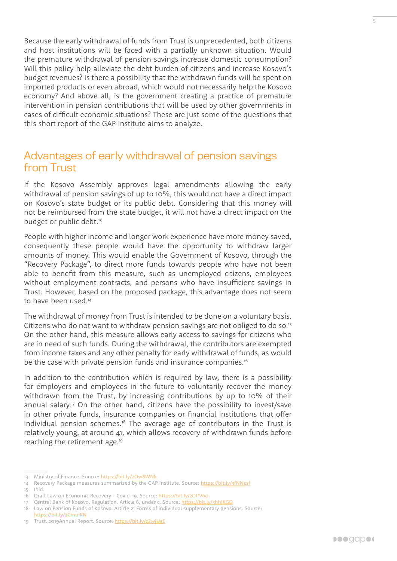<span id="page-4-0"></span>Because the early withdrawal of funds from Trust is unprecedented, both citizens and host institutions will be faced with a partially unknown situation. Would the premature withdrawal of pension savings increase domestic consumption? Will this policy help alleviate the debt burden of citizens and increase Kosovo's budget revenues? Is there a possibility that the withdrawn funds will be spent on imported products or even abroad, which would not necessarily help the Kosovo economy? And above all, is the government creating a practice of premature intervention in pension contributions that will be used by other governments in cases of difficult economic situations? These are just some of the questions that this short report of the GAP Institute aims to analyze.

#### Advantages of early withdrawal of pension savings from Trust

If the Kosovo Assembly approves legal amendments allowing the early withdrawal of pension savings of up to 10%, this would not have a direct impact on Kosovo's state budget or its public debt. Considering that this money will not be reimbursed from the state budget, it will not have a direct impact on the budget or public debt.<sup>13</sup>

People with higher income and longer work experience have more money saved, consequently these people would have the opportunity to withdraw larger amounts of money. This would enable the Government of Kosovo, through the "Recovery Package", to direct more funds towards people who have not been able to benefit from this measure, such as unemployed citizens, employees without employment contracts, and persons who have insufficient savings in Trust. However, based on the proposed package, this advantage does not seem to have been used.14

The withdrawal of money from Trust is intended to be done on a voluntary basis. Citizens who do not want to withdraw pension savings are not obliged to do so.15 On the other hand, this measure allows early access to savings for citizens who are in need of such funds. During the withdrawal, the contributors are exempted from income taxes and any other penalty for early withdrawal of funds, as would be the case with private pension funds and insurance companies.<sup>16</sup>

In addition to the contribution which is required by law, there is a possibility for employers and employees in the future to voluntarily recover the money withdrawn from the Trust, by increasing contributions by up to 10% of their annual salary.17 On the other hand, citizens have the possibility to invest/save in other private funds, insurance companies or financial institutions that offer individual pension schemes.<sup>18</sup> The average age of contributors in the Trust is relatively young, at around 41, which allows recovery of withdrawn funds before reaching the retirement age.<sup>19</sup>

<sup>13</sup> Ministry of Finance. Source:<https://bit.ly/2Ow8WNk>

<sup>14</sup> Recovery Package measures summarized by the GAP Institute. Source:<https://bit.ly/3fNNcsf> 15 Ibid.

<sup>16</sup> Draft Law on Economic Recovery - Covid-19. Source: <https://bit.ly/2OIfV60>

<sup>17</sup> Central Bank of Kosovo. Regulation. Article 6, under c. Source:<https://bit.ly/3hhJKGD>

<sup>18</sup> Law on Pension Funds of Kosovo. Article 21 Forms of individual supplementary pensions. Source: <https://bit.ly/2CmuiKN>

<sup>19</sup> Trust. 2019Annual Report. Source:<https://bit.ly/2ZwjUsE>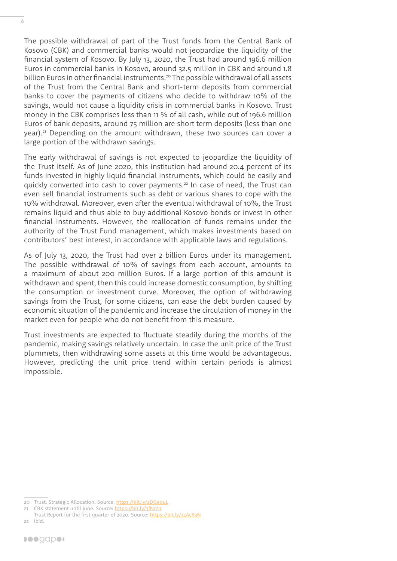The possible withdrawal of part of the Trust funds from the Central Bank of Kosovo (CBK) and commercial banks would not jeopardize the liquidity of the financial system of Kosovo. By July 13, 2020, the Trust had around 196.6 million Euros in commercial banks in Kosovo, around 32.5 million in CBK and around 1.8 billion Euros in other financial instruments.<sup>20</sup> The possible withdrawal of all assets of the Trust from the Central Bank and short-term deposits from commercial banks to cover the payments of citizens who decide to withdraw 10% of the savings, would not cause a liquidity crisis in commercial banks in Kosovo. Trust money in the CBK comprises less than 11 % of all cash, while out of 196.6 million Euros of bank deposits, around 75 million are short term deposits (less than one year).21 Depending on the amount withdrawn, these two sources can cover a large portion of the withdrawn savings.

The early withdrawal of savings is not expected to jeopardize the liquidity of the Trust itself. As of June 2020, this institution had around 20.4 percent of its funds invested in highly liquid financial instruments, which could be easily and quickly converted into cash to cover payments.<sup>22</sup> In case of need, the Trust can even sell financial instruments such as debt or various shares to cope with the 10% withdrawal. Moreover, even after the eventual withdrawal of 10%, the Trust remains liquid and thus able to buy additional Kosovo bonds or invest in other financial instruments. However, the reallocation of funds remains under the authority of the Trust Fund management, which makes investments based on contributors' best interest, in accordance with applicable laws and regulations.

As of July 13, 2020, the Trust had over 2 billion Euros under its management. The possible withdrawal of 10% of savings from each account, amounts to a maximum of about 200 million Euros. If a large portion of this amount is withdrawn and spent, then this could increase domestic consumption, by shifting the consumption or investment curve. Moreover, the option of withdrawing savings from the Trust, for some citizens, can ease the debt burden caused by economic situation of the pandemic and increase the circulation of money in the market even for people who do not benefit from this measure.

Trust investments are expected to fluctuate steadily during the months of the pandemic, making savings relatively uncertain. In case the unit price of the Trust plummets, then withdrawing some assets at this time would be advantageous. However, predicting the unit price trend within certain periods is almost impossible.

<sup>20</sup> Trust. Strategic Allocation. Source:<https://bit.ly/2DGeouL>

<sup>21</sup> CBK statement until June. Source:<https://bit.ly/3fNrzIr>

Trust Report for the first quarter of 2020. Source: <https://bit.ly/32AcR3N> 22 Ibid.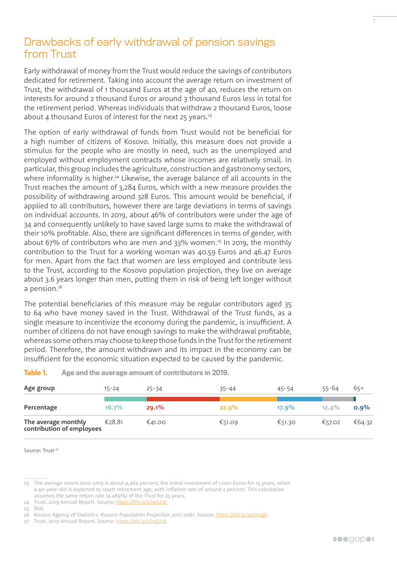# <span id="page-6-0"></span>Drawbacks of early withdrawal of pension savings from Trust

Early withdrawal of money from the Trust would reduce the savings of contributors dedicated for retirement. Taking into account the average return on investment of Trust, the withdrawal of 1 thousand Euros at the age of 40, reduces the return on interests for around 2 thousand Euros or around 3 thousand Euros less in total for the retirement period. Whereas individuals that withdraw 2 thousand Euros, loose about 4 thousand Euros of interest for the next  $25$  years.<sup>23</sup>

The option of early withdrawal of funds from Trust would not be beneficial for a high number of citizens of Kosovo. Initially, this measure does not provide a stimulus for the people who are mostly in need, such as the unemployed and employed without employment contracts whose incomes are relatively small. In particular, this group includes the agriculture, construction and gastronomy sectors, where informality is higher.<sup>24</sup> Likewise, the average balance of all accounts in the Trust reaches the amount of 3,284 Euros, which with a new measure provides the possibility of withdrawing around 328 Euros. This amount would be beneficial, if applied to all contributors, however there are large deviations in terms of savings on individual accounts. In 2019, about 46% of contributors were under the age of 34 and consequently unlikely to have saved large sums to make the withdrawal of their 10% profitable. Also, there are significant differences in terms of gender, with about 67% of contributors who are men and 33% women.25 In 2019, the monthly contribution to the Trust for a working woman was 40.59 Euros and 46.47 Euros for men. Apart from the fact that women are less employed and contribute less to the Trust, according to the Kosovo population projection, they live on average about 3.6 years longer than men, putting them in risk of being left longer without a pension.<sup>26</sup>

The potential beneficiaries of this measure may be regular contributors aged 35 to 64 who have money saved in the Trust. Withdrawal of the Trust funds, as a single measure to incentivize the economy during the pandemic, is insufficient. A number of citizens do not have enough savings to make the withdrawal profitable, whereas some others may choose to keep those funds in the Trust for the retirement period. Therefore, the amount withdrawn and its impact in the economy can be insufficient for the economic situation expected to be caused by the pandemic.

| Table 1. |  |  |  |  |  | Age and the average amount of contributors in 2019. |  |
|----------|--|--|--|--|--|-----------------------------------------------------|--|
|----------|--|--|--|--|--|-----------------------------------------------------|--|

| Age group                                        | 15-24    | $25 - 34$ | $35 - 44$ | $45 - 54$ | 55-64    | 65+     |
|--------------------------------------------------|----------|-----------|-----------|-----------|----------|---------|
| Percentage                                       | $16.7\%$ | 29.1%     | 22.9%     | $17.9\%$  | $12.4\%$ | $0.9\%$ |
| The average monthly<br>contribution of employees | €28.81   | €41.00    | €51.09    | €51.30    | €57.02   | €64.32  |

Source: Trust<sup>27</sup>

<sup>23</sup> The average return 2010-2019 is about 4,469 percent, the initial investment of 1,000 Euros for 25 years, when a 40-year-old is expected to reach retirement age, with inflation rate of around 2 percent. This calculation assumes the same return rate (4.469%) of the Trust for 25 years.

<sup>24</sup> Trust. 2019 Annual Report. Source:<https://bit.ly/2ZwjUsE>

<sup>25</sup> Ibid.

<sup>26</sup> Kosovo Agency of Statistics. Kosovo Population Projection 2017-2061. Source:<https://bit.ly/3eAmJgk>

<sup>27</sup> Trust. 2019 Annual Report. Source:<https://bit.ly/2ZwjUsE>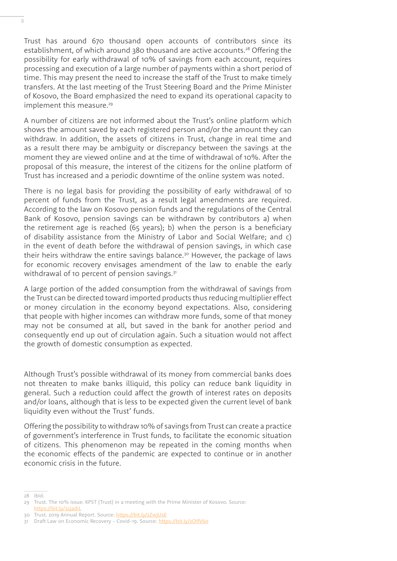Trust has around 670 thousand open accounts of contributors since its establishment, of which around 380 thousand are active accounts.<sup>28</sup> Offering the possibility for early withdrawal of 10% of savings from each account, requires processing and execution of a large number of payments within a short period of time. This may present the need to increase the staff of the Trust to make timely transfers. At the last meeting of the Trust Steering Board and the Prime Minister of Kosovo, the Board emphasized the need to expand its operational capacity to implement this measure.<sup>29</sup>

A number of citizens are not informed about the Trust's online platform which shows the amount saved by each registered person and/or the amount they can withdraw. In addition, the assets of citizens in Trust, change in real time and as a result there may be ambiguity or discrepancy between the savings at the moment they are viewed online and at the time of withdrawal of 10%. After the proposal of this measure, the interest of the citizens for the online platform of Trust has increased and a periodic downtime of the online system was noted.

There is no legal basis for providing the possibility of early withdrawal of 10 percent of funds from the Trust, as a result legal amendments are required. According to the law on Kosovo pension funds and the regulations of the Central Bank of Kosovo, pension savings can be withdrawn by contributors a) when the retirement age is reached (65 years); b) when the person is a beneficiary of disability assistance from the Ministry of Labor and Social Welfare; and c) in the event of death before the withdrawal of pension savings, in which case their heirs withdraw the entire savings balance.<sup>30</sup> However, the package of laws for economic recovery envisages amendment of the law to enable the early withdrawal of 10 percent of pension savings.<sup>31</sup>

A large portion of the added consumption from the withdrawal of savings from the Trust can be directed toward imported products thus reducing multiplier effect or money circulation in the economy beyond expectations. Also, considering that people with higher incomes can withdraw more funds, some of that money may not be consumed at all, but saved in the bank for another period and consequently end up out of circulation again. Such a situation would not affect the growth of domestic consumption as expected.

Although Trust's possible withdrawal of its money from commercial banks does not threaten to make banks illiquid, this policy can reduce bank liquidity in general. Such a reduction could affect the growth of interest rates on deposits and/or loans, although that is less to be expected given the current level of bank liquidity even without the Trust' funds.

Offering the possibility to withdraw 10% of savings from Trust can create a practice of government's interference in Trust funds, to facilitate the economic situation of citizens. This phenomenon may be repeated in the coming months when the economic effects of the pandemic are expected to continue or in another economic crisis in the future.

28 Ibid.

<sup>29</sup> Trust. The 10% issue: KPST (Trust) in a meeting with the Prime Minister of Kosovo. Source: <https://bit.ly/32jadiL>

<sup>30</sup> Trust. 2019 Annual Report. Source:<https://bit.ly/2ZwjUsE>

<sup>31</sup> Draft Law on Economic Recovery - Covid-19. Source: <https://bit.ly/2OIfV60>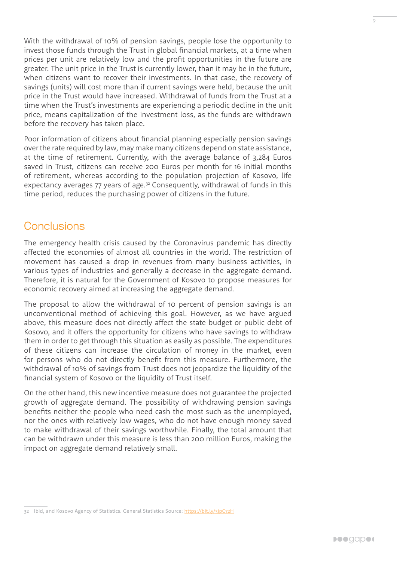<span id="page-8-0"></span>With the withdrawal of 10% of pension savings, people lose the opportunity to invest those funds through the Trust in global financial markets, at a time when prices per unit are relatively low and the profit opportunities in the future are greater. The unit price in the Trust is currently lower, than it may be in the future, when citizens want to recover their investments. In that case, the recovery of savings (units) will cost more than if current savings were held, because the unit price in the Trust would have increased. Withdrawal of funds from the Trust at a time when the Trust's investments are experiencing a periodic decline in the unit price, means capitalization of the investment loss, as the funds are withdrawn before the recovery has taken place.

Poor information of citizens about financial planning especially pension savings over the rate required by law, may make many citizens depend on state assistance, at the time of retirement. Currently, with the average balance of 3,284 Euros saved in Trust, citizens can receive 200 Euros per month for 16 initial months of retirement, whereas according to the population projection of Kosovo, life expectancy averages 77 years of age.<sup>32</sup> Consequently, withdrawal of funds in this time period, reduces the purchasing power of citizens in the future.

#### **Conclusions**

The emergency health crisis caused by the Coronavirus pandemic has directly affected the economies of almost all countries in the world. The restriction of movement has caused a drop in revenues from many business activities, in various types of industries and generally a decrease in the aggregate demand. Therefore, it is natural for the Government of Kosovo to propose measures for economic recovery aimed at increasing the aggregate demand.

The proposal to allow the withdrawal of 10 percent of pension savings is an unconventional method of achieving this goal. However, as we have argued above, this measure does not directly affect the state budget or public debt of Kosovo, and it offers the opportunity for citizens who have savings to withdraw them in order to get through this situation as easily as possible. The expenditures of these citizens can increase the circulation of money in the market, even for persons who do not directly benefit from this measure. Furthermore, the withdrawal of 10% of savings from Trust does not jeopardize the liquidity of the financial system of Kosovo or the liquidity of Trust itself.

On the other hand, this new incentive measure does not guarantee the projected growth of aggregate demand. The possibility of withdrawing pension savings benefits neither the people who need cash the most such as the unemployed, nor the ones with relatively low wages, who do not have enough money saved to make withdrawal of their savings worthwhile. Finally, the total amount that can be withdrawn under this measure is less than 200 million Euros, making the impact on aggregate demand relatively small.

<sup>32</sup> Ibid, and Kosovo Agency of Statistics. General Statistics Source:<https://bit.ly/3jpC72H>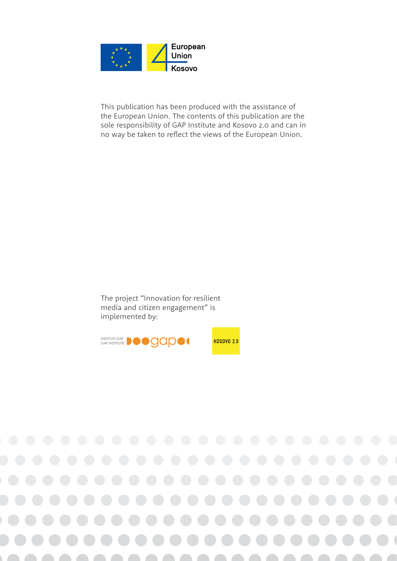

This publication has been produced with the assistance of the European Union. The contents of this publication are the sole responsibility of GAP Institute and Kosovo 2.0 and can in no way be taken to reflect the views of the European Union.

The project "Innovation for resilient media and citizen engagement" is implemented by: